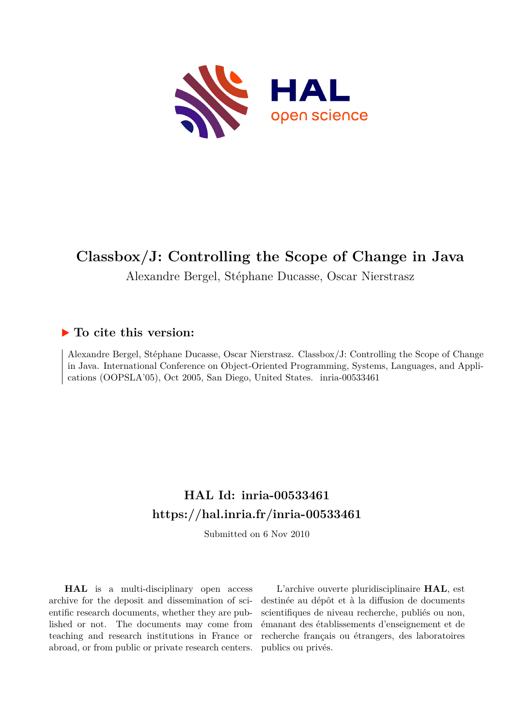

# **Classbox/J: Controlling the Scope of Change in Java**

Alexandre Bergel, Stéphane Ducasse, Oscar Nierstrasz

# **To cite this version:**

Alexandre Bergel, Stéphane Ducasse, Oscar Nierstrasz. Classbox/J: Controlling the Scope of Change in Java. International Conference on Object-Oriented Programming, Systems, Languages, and Applications (OOPSLA'05), Oct 2005, San Diego, United States. in ria-00533461

# **HAL Id: inria-00533461 <https://hal.inria.fr/inria-00533461>**

Submitted on 6 Nov 2010

**HAL** is a multi-disciplinary open access archive for the deposit and dissemination of scientific research documents, whether they are published or not. The documents may come from teaching and research institutions in France or abroad, or from public or private research centers.

L'archive ouverte pluridisciplinaire **HAL**, est destinée au dépôt et à la diffusion de documents scientifiques de niveau recherche, publiés ou non, émanant des établissements d'enseignement et de recherche français ou étrangers, des laboratoires publics ou privés.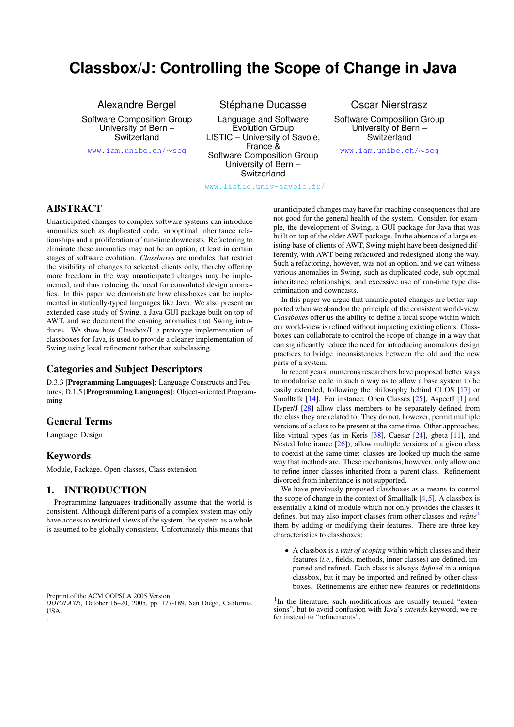# **Classbox/J: Controlling the Scope of Change in Java**

## Alexandre Bergel

Software Composition Group University of Bern – **Switzerland** 

[www.iam.unibe.ch/](http://www.iam.unibe.ch/~scg/index.html)∼scg

Stéphane Ducasse

Language and Software Evolution Group LISTIC – University of Savoie, France & Software Composition Group University of Bern – Switzerland www.listic.univ-savoie.fr/ Oscar Nierstrasz

Software Composition Group University of Bern – **Switzerland** 

[www.iam.unibe.ch/](http://www.iam.unibe.ch/~scg/index.html)∼scg

## ABSTRACT

Unanticipated changes to complex software systems can introduce anomalies such as duplicated code, suboptimal inheritance relationships and a proliferation of run-time downcasts. Refactoring to eliminate these anomalies may not be an option, at least in certain stages of software evolution. *Classboxes* are modules that restrict the visibility of changes to selected clients only, thereby offering more freedom in the way unanticipated changes may be implemented, and thus reducing the need for convoluted design anomalies. In this paper we demonstrate how classboxes can be implemented in statically-typed languages like Java. We also present an extended case study of Swing, a Java GUI package built on top of AWT, and we document the ensuing anomalies that Swing introduces. We show how Classbox/J, a prototype implementation of classboxes for Java, is used to provide a cleaner implementation of Swing using local refinement rather than subclassing.

## Categories and Subject Descriptors

D.3.3 [Programming Languages]: Language Constructs and Features; D.1.5 [Programming Languages]: Object-oriented Programming

## General Terms

Language, Design

### Keywords

.

Module, Package, Open-classes, Class extension

# 1. INTRODUCTION

Programming languages traditionally assume that the world is consistent. Although different parts of a complex system may only have access to restricted views of the system, the system as a whole is assumed to be globally consistent. Unfortunately this means that

Preprint of the ACM OOPSLA 2005 Version

*OOPSLA'05,* October 16–20, 2005, pp. 177-189, San Diego, California, USA.

unanticipated changes may have far-reaching consequences that are not good for the general health of the system. Consider, for example, the development of Swing, a GUI package for Java that was built on top of the older AWT package. In the absence of a large existing base of clients of AWT, Swing might have been designed differently, with AWT being refactored and redesigned along the way. Such a refactoring, however, was not an option, and we can witness various anomalies in Swing, such as duplicated code, sub-optimal inheritance relationships, and excessive use of run-time type discrimination and downcasts.

In this paper we argue that unanticipated changes are better supported when we abandon the principle of the consistent world-view. *Classboxes* offer us the ability to define a local scope within which our world-view is refined without impacting existing clients. Classboxes can collaborate to control the scope of change in a way that can significantly reduce the need for introducing anomalous design practices to bridge inconsistencies between the old and the new parts of a system.

In recent years, numerous researchers have proposed better ways to modularize code in such a way as to allow a base system to be easily extended, following the philosophy behind CLOS [\[17\]](#page-12-0) or Smalltalk [\[14\]](#page-12-1). For instance, Open Classes [\[25\]](#page-13-0), AspectJ [\[1\]](#page-12-2) and Hyper/J [\[28\]](#page-13-1) allow class members to be separately defined from the class they are related to. They do not, however, permit multiple versions of a class to be present at the same time. Other approaches, like virtual types (as in Keris [\[38\]](#page-13-2), Caesar [\[24\]](#page-13-3), gbeta [\[11\]](#page-12-3), and Nested Inheritance [\[26\]](#page-13-4)), allow multiple versions of a given class to coexist at the same time: classes are looked up much the same way that methods are. These mechanisms, however, only allow one to refine inner classes inherited from a parent class. Refinement divorced from inheritance is not supported.

We have previously proposed classboxes as a means to control the scope of change in the context of Smalltalk  $[4,5]$  $[4,5]$ . A classbox is essentially a kind of module which not only provides the classes it defines, but may also import classes from other classes and *refine*[1](#page-1-0) them by adding or modifying their features. There are three key characteristics to classboxes:

• A classbox is a *unit of scoping* within which classes and their features (*i.e.*, fields, methods, inner classes) are defined, imported and refined. Each class is always *defined* in a unique classbox, but it may be imported and refined by other classboxes. Refinements are either new features or redefinitions

<span id="page-1-0"></span><sup>&</sup>lt;sup>1</sup>In the literature, such modifications are usually termed "extensions", but to avoid confusion with Java's *extends* keyword, we refer instead to "refinements".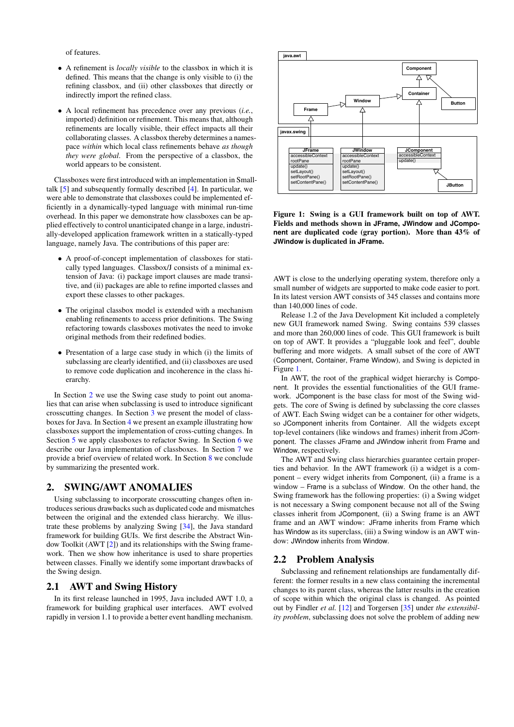of features.

- A refinement is *locally visible* to the classbox in which it is defined. This means that the change is only visible to (i) the refining classbox, and (ii) other classboxes that directly or indirectly import the refined class.
- A local refinement has precedence over any previous (*i.e.*, imported) definition or refinement. This means that, although refinements are locally visible, their effect impacts all their collaborating classes. A classbox thereby determines a namespace *within* which local class refinements behave *as though they were global*. From the perspective of a classbox, the world appears to be consistent.

Classboxes were first introduced with an implementation in Smalltalk [\[5\]](#page-12-5) and subsequently formally described [\[4\]](#page-12-4). In particular, we were able to demonstrate that classboxes could be implemented efficiently in a dynamically-typed language with minimal run-time overhead. In this paper we demonstrate how classboxes can be applied effectively to control unanticipated change in a large, industrially-developed application framework written in a statically-typed language, namely Java. The contributions of this paper are:

- A proof-of-concept implementation of classboxes for statically typed languages. Classbox/J consists of a minimal extension of Java: (i) package import clauses are made transitive, and (ii) packages are able to refine imported classes and export these classes to other packages.
- The original classbox model is extended with a mechanism enabling refinements to access prior definitions. The Swing refactoring towards classboxes motivates the need to invoke original methods from their redefined bodies.
- Presentation of a large case study in which (i) the limits of subclassing are clearly identified, and (ii) classboxes are used to remove code duplication and incoherence in the class hierarchy.

In Section [2](#page-2-0) we use the Swing case study to point out anomalies that can arise when subclassing is used to introduce significant crosscutting changes. In Section [3](#page-3-0) we present the model of classboxes for Java. In Section [4](#page-5-0) we present an example illustrating how classboxes support the implementation of cross-cutting changes. In Section [5](#page-6-0) we apply classboxes to refactor Swing. In Section [6](#page-8-0) we describe our Java implementation of classboxes. In Section [7](#page-10-0) we provide a brief overview of related work. In Section [8](#page-12-6) we conclude by summarizing the presented work.

## <span id="page-2-0"></span>2. SWING/AWT ANOMALIES

Using subclassing to incorporate crosscutting changes often introduces serious drawbacks such as duplicated code and mismatches between the original and the extended class hierarchy. We illustrate these problems by analyzing Swing [\[34\]](#page-13-5), the Java standard framework for building GUIs. We first describe the Abstract Window Toolkit (AWT [\[2\]](#page-12-7)) and its relationships with the Swing framework. Then we show how inheritance is used to share properties between classes. Finally we identify some important drawbacks of the Swing design.

## 2.1 AWT and Swing History

In its first release launched in 1995, Java included AWT 1.0, a framework for building graphical user interfaces. AWT evolved rapidly in version 1.1 to provide a better event handling mechanism.



<span id="page-2-1"></span>Figure 1: Swing is a GUI framework built on top of AWT. Fields and methods shown in **JFrame**, **JWindow** and **JComponent** are duplicated code (gray portion). More than 43% of **JWindow** is duplicated in **JFrame**.

AWT is close to the underlying operating system, therefore only a small number of widgets are supported to make code easier to port. In its latest version AWT consists of 345 classes and contains more than 140,000 lines of code.

Release 1.2 of the Java Development Kit included a completely new GUI framework named Swing. Swing contains 539 classes and more than 260,000 lines of code. This GUI framework is built on top of AWT. It provides a "pluggable look and feel", double buffering and more widgets. A small subset of the core of AWT (Component, Container, Frame Window), and Swing is depicted in Figure [1.](#page-2-1)

In AWT, the root of the graphical widget hierarchy is Component. It provides the essential functionalities of the GUI framework. JComponent is the base class for most of the Swing widgets. The core of Swing is defined by subclassing the core classes of AWT. Each Swing widget can be a container for other widgets, so JComponent inherits from Container. All the widgets except top-level containers (like windows and frames) inherit from JComponent. The classes JFrame and JWindow inherit from Frame and Window, respectively.

The AWT and Swing class hierarchies guarantee certain properties and behavior. In the AWT framework (i) a widget is a component – every widget inherits from Component, (ii) a frame is a window – Frame is a subclass of Window. On the other hand, the Swing framework has the following properties: (i) a Swing widget is not necessary a Swing component because not all of the Swing classes inherit from JComponent, (ii) a Swing frame is an AWT frame and an AWT window: JFrame inherits from Frame which has Window as its superclass, (iii) a Swing window is an AWT window: JWindow inherits from Window.

## <span id="page-2-2"></span>2.2 Problem Analysis

Subclassing and refinement relationships are fundamentally different: the former results in a new class containing the incremental changes to its parent class, whereas the latter results in the creation of scope within which the original class is changed. As pointed out by Findler *et al.* [\[12\]](#page-12-8) and Torgersen [\[35\]](#page-13-6) under *the extensibility problem*, subclassing does not solve the problem of adding new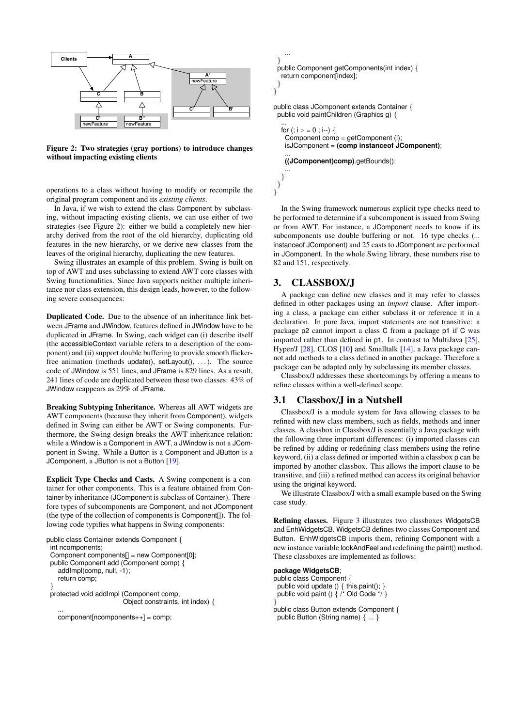

<span id="page-3-1"></span>Figure 2: Two strategies (gray portions) to introduce changes without impacting existing clients

operations to a class without having to modify or recompile the original program component and its *existing clients*.

In Java, if we wish to extend the class Component by subclassing, without impacting existing clients, we can use either of two strategies (see Figure [2\)](#page-3-1): either we build a completely new hierarchy derived from the root of the old hierarchy, duplicating old features in the new hierarchy, or we derive new classes from the leaves of the original hierarchy, duplicating the new features.

Swing illustrates an example of this problem. Swing is built on top of AWT and uses subclassing to extend AWT core classes with Swing functionalities. Since Java supports neither multiple inheritance nor class extension, this design leads, however, to the following severe consequences:

Duplicated Code. Due to the absence of an inheritance link between JFrame and JWindow, features defined in JWindow have to be duplicated in JFrame. In Swing, each widget can (i) describe itself (the accessibleContext variable refers to a description of the component) and (ii) support double buffering to provide smooth flickerfree animation (methods update(), setLayout(),  $\dots$ ). The source code of JWindow is 551 lines, and JFrame is 829 lines. As a result, 241 lines of code are duplicated between these two classes: 43% of JWindow reappears as 29% of JFrame.

Breaking Subtyping Inheritance. Whereas all AWT widgets are AWT components (because they inherit from Component), widgets defined in Swing can either be AWT or Swing components. Furthermore, the Swing design breaks the AWT inheritance relation: while a Window is a Component in AWT, a JWindow is not a JComponent in Swing. While a Button is a Component and JButton is a JComponent, a JButton is not a Button [\[19\]](#page-12-9).

Explicit Type Checks and Casts. A Swing component is a container for other components. This is a feature obtained from Container by inheritance (JComponent is subclass of Container). Therefore types of subcomponents are Component, and not JComponent (the type of the collection of components is Component[]). The following code typifies what happens in Swing components:

```
public class Container extends Component {
 int ncomponents;
 Component components[] = new Component[0];
 public Component add (Component comp) {
   addImpl(comp, null, -1);
   return comp;
 }
 protected void addImpl (Component comp,
                        Object constraints, int index) {
   ...
```
component[ncomponents++] = comp;

```
}
 public Component getComponents(int index) {
  return component[index];
 }
}
public class JComponent extends Container {
 public void paintChildren (Graphics g) {
  ...
  for (; i > 0; i-j {
   Component comp = getComponent (i);
   isJComponent = (comp instanceof JComponent);
   ...
   ((JComponent)comp).getBounds();
   ...
  }
 }
```
In the Swing framework numerous explicit type checks need to be performed to determine if a subcomponent is issued from Swing or from AWT. For instance, a JComponent needs to know if its subcomponents use double buffering or not. 16 type checks (... instanceof JComponent) and 25 casts to JComponent are performed in JComponent. In the whole Swing library, these numbers rise to 82 and 151, respectively.

## <span id="page-3-0"></span>3. CLASSBOX/J

...

}

A package can define new classes and it may refer to classes defined in other packages using an *import* clause. After importing a class, a package can either subclass it or reference it in a declaration. In pure Java, import statements are not transitive: a package p2 cannot import a class C from a package p1 if C was imported rather than defined in p1. In contrast to MultiJava [\[25\]](#page-13-0), Hyper/J [\[28\]](#page-13-1), CLOS [\[10\]](#page-12-10) and Smalltalk [\[14\]](#page-12-1), a Java package cannot add methods to a class defined in another package. Therefore a package can be adapted only by subclassing its member classes.

Classbox/J addresses these shortcomings by offering a means to refine classes within a well-defined scope.

## 3.1 Classbox/J in a Nutshell

Classbox/J is a module system for Java allowing classes to be refined with new class members, such as fields, methods and inner classes. A classbox in Classbox/J is essentially a Java package with the following three important differences: (i) imported classes can be refined by adding or redefining class members using the refine keyword, (ii) a class defined or imported within a classbox p can be imported by another classbox. This allows the import clause to be transitive, and (iii) a refined method can access its original behavior using the original keyword.

We illustrate Classbox/J with a small example based on the Swing case study.

Refining classes. Figure [3](#page-4-0) illustrates two classboxes WidgetsCB and EnhWidgetsCB. WidgetsCB defines two classes Component and Button. EnhWidgetsCB imports them, refining Component with a new instance variable lookAndFeel and redefining the paint() method. These classboxes are implemented as follows:

#### **package WidgetsCB**;

public class Component { public void update ()  $\{$  this.paint();  $\}$ public void paint () { /\* Old Code \*/ } } public class Button extends Component { public Button (String name) { ... }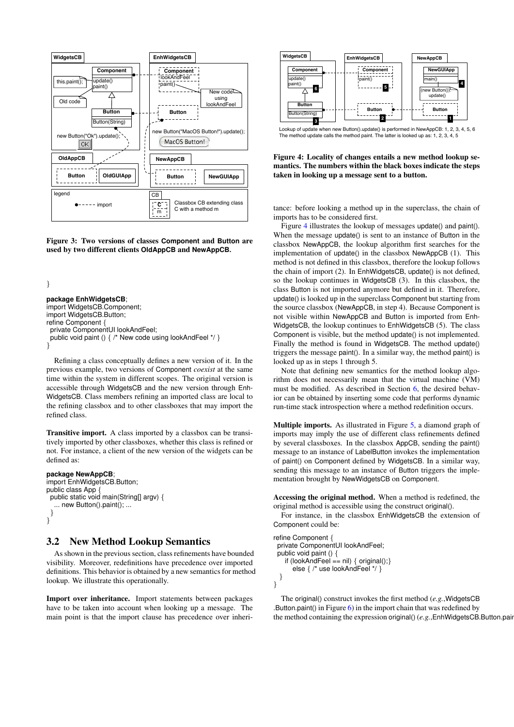

<span id="page-4-0"></span>Figure 3: Two versions of classes **Component** and **Button** are used by two different clients **OldAppCB** and **NewAppCB.**

}

```
package EnhWidgetsCB;
import WidgetsCB.Component;
import WidgetsCB.Button;
refine Component {
 private ComponentUI lookAndFeel;
 public void paint () { /* New code using lookAndFeel */ }
}
```
Refining a class conceptually defines a new version of it. In the previous example, two versions of Component *coexist* at the same time within the system in different scopes. The original version is accessible through WidgetsCB and the new version through Enh-WidgetsCB. Class members refining an imported class are local to the refining classbox and to other classboxes that may import the refined class.

Transitive import. A class imported by a classbox can be transitively imported by other classboxes, whether this class is refined or not. For instance, a client of the new version of the widgets can be defined as:

#### **package NewAppCB**;

```
import EnhWidgetsCB.Button;
public class App
 public static void main(String[] argv) {
   ... new Button().paint(); ...
 }
}
```
## <span id="page-4-2"></span>3.2 New Method Lookup Semantics

As shown in the previous section, class refinements have bounded visibility. Moreover, redefinitions have precedence over imported definitions. This behavior is obtained by a new semantics for method lookup. We illustrate this operationally.

Import over inheritance. Import statements between packages have to be taken into account when looking up a message. The main point is that the import clause has precedence over inheri-



Lookup of update when new Button().update() is performed in NewAppCB: 1, 2, 3, 4, 5, 6 The method update calls the method paint. The latter is looked up as: 1, 2, 3, 4, 5

<span id="page-4-1"></span>Figure 4: Locality of changes entails a new method lookup semantics. The numbers within the black boxes indicate the steps taken in looking up a message sent to a button.

tance: before looking a method up in the superclass, the chain of imports has to be considered first.

Figure [4](#page-4-1) illustrates the lookup of messages update() and paint(). When the message update() is sent to an instance of Button in the classbox NewAppCB, the lookup algorithm first searches for the implementation of update() in the classbox NewAppCB (1). This method is not defined in this classbox, therefore the lookup follows the chain of import (2). In EnhWidgetsCB, update() is not defined, so the lookup continues in WidgetsCB (3). In this classbox, the class Button is not imported anymore but defined in it. Therefore, update() is looked up in the superclass Component but starting from the source classbox (NewAppCB, in step 4). Because Component is not visible within NewAppCB and Button is imported from Enh-WidgetsCB, the lookup continues to EnhWidgetsCB (5). The class Component is visible, but the method update() is not implemented. Finally the method is found in WidgetsCB. The method update() triggers the message paint(). In a similar way, the method paint() is looked up as in steps 1 through 5.

Note that defining new semantics for the method lookup algorithm does not necessarily mean that the virtual machine (VM) must be modified. As described in Section [6,](#page-8-0) the desired behavior can be obtained by inserting some code that performs dynamic run-time stack introspection where a method redefinition occurs.

Multiple imports. As illustrated in Figure [5,](#page-5-1) a diamond graph of imports may imply the use of different class refinements defined by several classboxes. In the classbox AppCB, sending the paint() message to an instance of LabelButton invokes the implementation of paint() on Component defined by WidgetsCB. In a similar way, sending this message to an instance of Button triggers the implementation brought by NewWidgetsCB on Component.

Accessing the original method. When a method is redefined, the original method is accessible using the construct original().

For instance, in the classbox EnhWidgetsCB the extension of Component could be:

```
refine Component {
 private ComponentUI lookAndFeel;
 public void paint () {
   if (lookAndFeel == nil) { original();}
      else { /* use lookAndFeel */ }
  }
}
```
The original() construct invokes the first method (*e.g.*,WidgetsCB .Button.paint() in Figure  $6$ ) in the import chain that was redefined by the method containing the expression original() (e.g., EnhWidgetsCB.Button.paint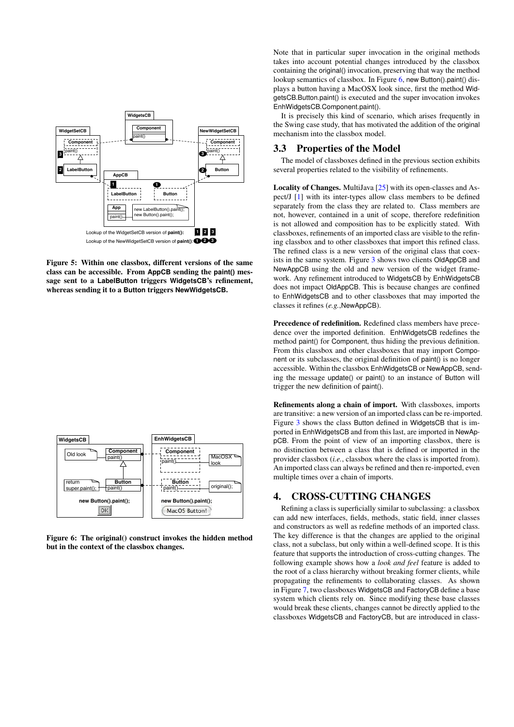

<span id="page-5-1"></span>Figure 5: Within one classbox, different versions of the same class can be accessible. From **AppCB** sending the **paint()** message sent to a **LabelButton** triggers **WidgetsCB**'s refinement, whereas sending it to a **Button** triggers **NewWidgetsCB**.



<span id="page-5-2"></span>Figure 6: The original() construct invokes the hidden method but in the context of the classbox changes.

Note that in particular super invocation in the original methods takes into account potential changes introduced by the classbox containing the original() invocation, preserving that way the method lookup semantics of classbox. In Figure [6,](#page-5-2) new Button().paint() displays a button having a MacOSX look since, first the method WidgetsCB.Button.paint() is executed and the super invocation invokes EnhWidgetsCB.Component.paint().

It is precisely this kind of scenario, which arises frequently in the Swing case study, that has motivated the addition of the original mechanism into the classbox model.

## 3.3 Properties of the Model

The model of classboxes defined in the previous section exhibits several properties related to the visibility of refinements.

Locality of Changes. MultiJava [\[25\]](#page-13-0) with its open-classes and Aspect/J [\[1\]](#page-12-2) with its inter-types allow class members to be defined separately from the class they are related to. Class members are not, however, contained in a unit of scope, therefore redefinition is not allowed and composition has to be explicitly stated. With classboxes, refinements of an imported class are visible to the refining classbox and to other classboxes that import this refined class. The refined class is a new version of the original class that coexists in the same system. Figure [3](#page-4-0) shows two clients OldAppCB and NewAppCB using the old and new version of the widget framework. Any refinement introduced to WidgetsCB by EnhWidgetsCB does not impact OldAppCB. This is because changes are confined to EnhWidgetsCB and to other classboxes that may imported the classes it refines (*e.g.*,NewAppCB).

Precedence of redefinition. Redefined class members have precedence over the imported definition. EnhWidgetsCB redefines the method paint() for Component, thus hiding the previous definition. From this classbox and other classboxes that may import Component or its subclasses, the original definition of paint() is no longer accessible. Within the classbox EnhWidgetsCB or NewAppCB, sending the message update() or paint() to an instance of Button will trigger the new definition of paint().

Refinements along a chain of import. With classboxes, imports are transitive: a new version of an imported class can be re-imported. Figure [3](#page-4-0) shows the class Button defined in WidgetsCB that is imported in EnhWidgetsCB and from this last, are imported in NewAppCB. From the point of view of an importing classbox, there is no distinction between a class that is defined or imported in the provider classbox (*i.e.*, classbox where the class is imported from). An imported class can always be refined and then re-imported, even multiple times over a chain of imports.

## <span id="page-5-0"></span>4. CROSS-CUTTING CHANGES

Refining a class is superficially similar to subclassing: a classbox can add new interfaces, fields, methods, static field, inner classes and constructors as well as redefine methods of an imported class. The key difference is that the changes are applied to the original class, not a subclass, but only within a well-defined scope. It is this feature that supports the introduction of cross-cutting changes. The following example shows how a *look and feel* feature is added to the root of a class hierarchy without breaking former clients, while propagating the refinements to collaborating classes. As shown in Figure [7,](#page-6-1) two classboxes WidgetsCB and FactoryCB define a base system which clients rely on. Since modifying these base classes would break these clients, changes cannot be directly applied to the classboxes WidgetsCB and FactoryCB, but are introduced in class-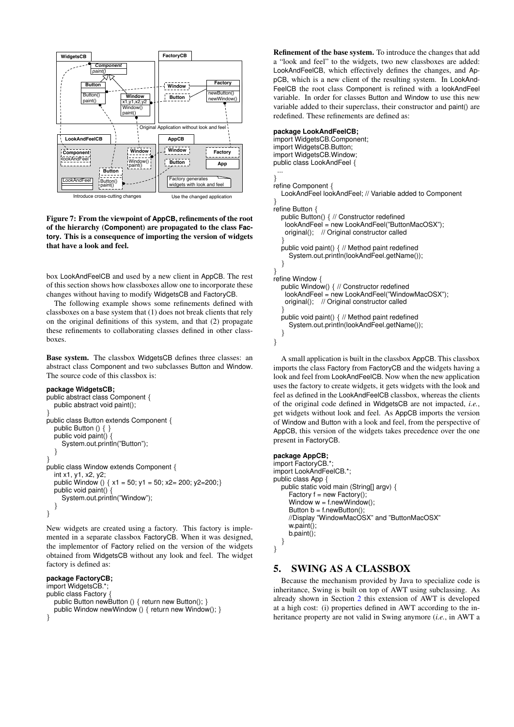

<span id="page-6-1"></span>Figure 7: From the viewpoint of **AppCB**, refinements of the root of the hierarchy (**Component**) are propagated to the class **Factory**. This is a consequence of importing the version of widgets that have a look and feel.

box LookAndFeelCB and used by a new client in AppCB. The rest of this section shows how classboxes allow one to incorporate these changes without having to modify WidgetsCB and FactoryCB.

The following example shows some refinements defined with classboxes on a base system that (1) does not break clients that rely on the original definitions of this system, and that (2) propagate these refinements to collaborating classes defined in other classboxes.

Base system. The classbox WidgetsCB defines three classes: an abstract class Component and two subclasses Button and Window. The source code of this classbox is:

#### **package WidgetsCB;**

```
public abstract class Component {
  public abstract void paint();
}
public class Button extends Component {
  public Button () { }
  public void paint() {
     System.out.println("Button");
  }
}
public class Window extends Component {
  int x1, y1, x2, y2;
  public Window () { x1 = 50; y1 = 50; x2 = 200; y2 = 200; }
  public void paint()
     System.out.println("Window");
  }
}
```
New widgets are created using a factory. This factory is implemented in a separate classbox FactoryCB. When it was designed, the implementor of Factory relied on the version of the widgets obtained from WidgetsCB without any look and feel. The widget factory is defined as:

```
package FactoryCB;
import WidgetsCB.*
public class Factory
  public Button new Button () { return new Button(); }
  public Window newWindow () { return new Window(); }
}
```
Refinement of the base system. To introduce the changes that add a "look and feel" to the widgets, two new classboxes are added: LookAndFeelCB, which effectively defines the changes, and AppCB, which is a new client of the resulting system. In LookAnd-FeelCB the root class Component is refined with a lookAndFeel variable. In order for classes Button and Window to use this new variable added to their superclass, their constructor and paint() are redefined. These refinements are defined as:

#### **package LookAndFeelCB;**

}

}

}

}

```
import WidgetsCB.Component;
import WidgetsCB.Button;
import WidgetsCB.Window;
public class LookAndFeel {
 ...
refine Component {
  LookAndFeel lookAndFeel; // Variable added to Component
refine Button {
  public Button() { // Constructor redefined
   lookAndFeel = new LookAndFeel("ButtonMacOSX");
   original(); // Original constructor called
  }
  public void paint() { // Method paint redefined
     System.out.println(lookAndFeel.getName());
  }
refine Window {
  public Window() { // Constructor redefined
   lookAndFeel = new LookAndFeel("WindowMacOSX");
   original(); // Original constructor called
  }
  public void paint() { // Method paint redefined
     System.out.println(lookAndFeel.getName());
  }
```
A small application is built in the classbox AppCB. This classbox imports the class Factory from FactoryCB and the widgets having a look and feel from LookAndFeelCB. Now when the new application uses the factory to create widgets, it gets widgets with the look and feel as defined in the LookAndFeelCB classbox, whereas the clients of the original code defined in WidgetsCB are not impacted, *i.e.*, get widgets without look and feel. As AppCB imports the version of Window and Button with a look and feel, from the perspective of AppCB, this version of the widgets takes precedence over the one present in FactoryCB.

#### **package AppCB;**

```
import FactoryCB.<sup>*</sup>
import LookAndFeelCB.*;
public class App {
  public static void main (String[] argv) {
     Factory f = new Factory;
     Window w = f.newWindow():
     Button b = f.newButton();
     //Display "WindowMacOSX" and "ButtonMacOSX"
     w.paint();
     b.paint();
  }
```
#### }

## <span id="page-6-0"></span>5. SWING AS A CLASSBOX

Because the mechanism provided by Java to specialize code is inheritance, Swing is built on top of AWT using subclassing. As already shown in Section [2](#page-2-0) this extension of AWT is developed at a high cost: (i) properties defined in AWT according to the inheritance property are not valid in Swing anymore (*i.e.*, in AWT a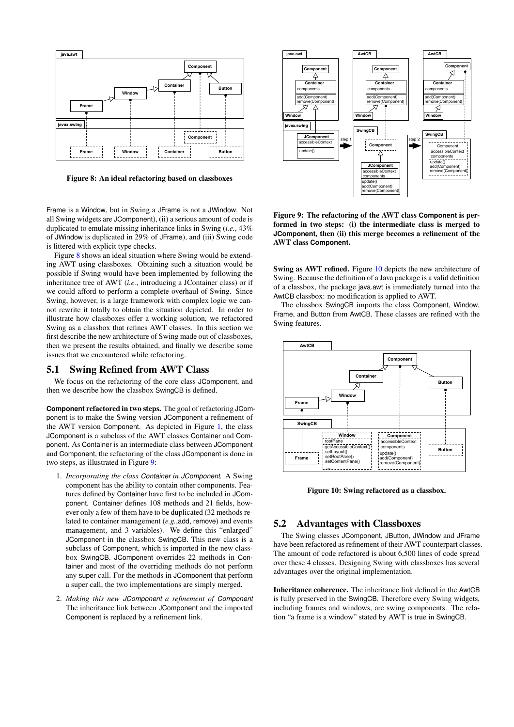

<span id="page-7-0"></span>Figure 8: An ideal refactoring based on classboxes

Frame is a Window, but in Swing a JFrame is not a JWindow. Not all Swing widgets are JComponent), (ii) a serious amount of code is duplicated to emulate missing inheritance links in Swing (*i.e.*, 43% of JWindow is duplicated in 29% of JFrame), and (iii) Swing code is littered with explicit type checks.

Figure [8](#page-7-0) shows an ideal situation where Swing would be extending AWT using classboxes. Obtaining such a situation would be possible if Swing would have been implemented by following the inheritance tree of AWT (*i.e.*, introducing a JContainer class) or if we could afford to perform a complete overhaul of Swing. Since Swing, however, is a large framework with complex logic we cannot rewrite it totally to obtain the situation depicted. In order to illustrate how classboxes offer a working solution, we refactored Swing as a classbox that refines AWT classes. In this section we first describe the new architecture of Swing made out of classboxes, then we present the results obtained, and finally we describe some issues that we encountered while refactoring.

#### 5.1 Swing Refined from AWT Class

We focus on the refactoring of the core class JComponent, and then we describe how the classbox SwingCB is defined.

**Component** refactored in two steps. The goal of refactoring JComponent is to make the Swing version JComponent a refinement of the AWT version Component. As depicted in Figure [1,](#page-2-1) the class JComponent is a subclass of the AWT classes Container and Component. As Container is an intermediate class between JComponent and Component, the refactoring of the class JComponent is done in two steps, as illustrated in Figure [9:](#page-7-1)

- 1. *Incorporating the class Container in JComponent.* A Swing component has the ability to contain other components. Features defined by Container have first to be included in JComponent. Container defines 108 methods and 21 fields, however only a few of them have to be duplicated (32 methods related to container management (*e.g.*,add, remove) and events management, and 3 variables). We define this "enlarged" JComponent in the classbox SwingCB. This new class is a subclass of Component, which is imported in the new classbox SwingCB. JComponent overrides 22 methods in Container and most of the overriding methods do not perform any super call. For the methods in JComponent that perform a super call, the two implementations are simply merged.
- 2. *Making this new JComponent a refinement of Component* The inheritance link between JComponent and the imported Component is replaced by a refinement link.



<span id="page-7-1"></span>Figure 9: The refactoring of the AWT class **Component** is performed in two steps: (i) the intermediate class is merged to **JComponent**, then (ii) this merge becomes a refinement of the AWT class **Component**.

Swing as AWT refined. Figure [10](#page-7-2) depicts the new architecture of Swing. Because the definition of a Java package is a valid definition of a classbox, the package java.awt is immediately turned into the AwtCB classbox: no modification is applied to AWT.

The classbox SwingCB imports the class Component, Window, Frame, and Button from AwtCB. These classes are refined with the Swing features.



<span id="page-7-2"></span>Figure 10: Swing refactored as a classbox.

## 5.2 Advantages with Classboxes

The Swing classes JComponent, JButton, JWindow and JFrame have been refactored as refinement of their AWT counterpart classes. The amount of code refactored is about 6,500 lines of code spread over these 4 classes. Designing Swing with classboxes has several advantages over the original implementation.

Inheritance coherence. The inheritance link defined in the AwtCB is fully preserved in the SwingCB. Therefore every Swing widgets, including frames and windows, are swing components. The relation "a frame is a window" stated by AWT is true in SwingCB.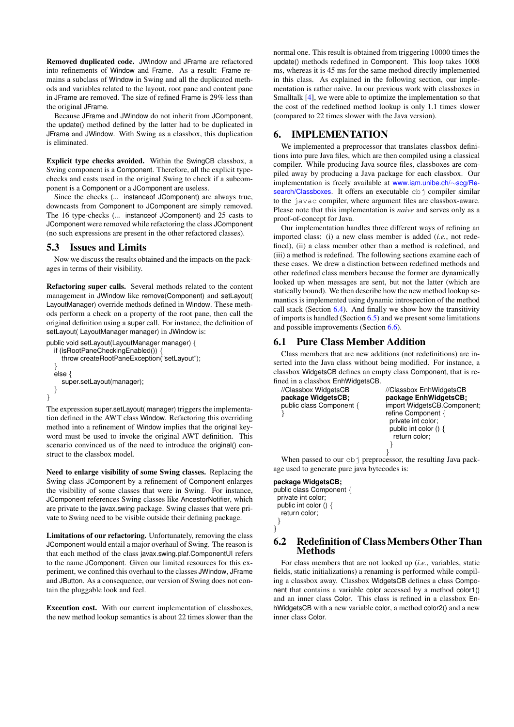Removed duplicated code. JWindow and JFrame are refactored into refinements of Window and Frame. As a result: Frame remains a subclass of Window in Swing and all the duplicated methods and variables related to the layout, root pane and content pane in JFrame are removed. The size of refined Frame is 29% less than the original JFrame.

Because JFrame and JWindow do not inherit from JComponent, the update() method defined by the latter had to be duplicated in JFrame and JWindow. With Swing as a classbox, this duplication is eliminated.

Explicit type checks avoided. Within the SwingCB classbox, a Swing component is a Component. Therefore, all the explicit typechecks and casts used in the original Swing to check if a subcomponent is a Component or a JComponent are useless.

Since the checks (... instanceof JComponent) are always true, downcasts from Component to JComponent are simply removed. The 16 type-checks (... instanceof JComponent) and 25 casts to JComponent were removed while refactoring the class JComponent (no such expressions are present in the other refactored classes).

## 5.3 Issues and Limits

Now we discuss the results obtained and the impacts on the packages in terms of their visibility.

Refactoring super calls. Several methods related to the content management in JWindow like remove(Component) and setLayout( LayoutManager) override methods defined in Window. These methods perform a check on a property of the root pane, then call the original definition using a super call. For instance, the definition of setLayout( LayoutManager manager) in JWindow is:

```
public void setLayout(LayoutManager manager) {
  if (isRootPaneCheckingEnabled()) {
    throw createRootPaneException("setLayout");
  }
  else {
     super.setLayout(manager);
  }
}
```
The expression super.setLayout( manager) triggers the implementation defined in the AWT class Window. Refactoring this overriding method into a refinement of Window implies that the original keyword must be used to invoke the original AWT definition. This scenario convinced us of the need to introduce the original() construct to the classbox model.

Need to enlarge visibility of some Swing classes. Replacing the Swing class JComponent by a refinement of Component enlarges the visibility of some classes that were in Swing. For instance, JComponent references Swing classes like AncestorNotifier, which are private to the javax.swing package. Swing classes that were private to Swing need to be visible outside their defining package.

Limitations of our refactoring. Unfortunately, removing the class JComponent would entail a major overhaul of Swing. The reason is that each method of the class javax.swing.plaf.ComponentUI refers to the name JComponent. Given our limited resources for this experiment, we confined this overhaul to the classes JWindow, JFrame and JButton. As a consequence, our version of Swing does not contain the pluggable look and feel.

Execution cost. With our current implementation of classboxes, the new method lookup semantics is about 22 times slower than the

normal one. This result is obtained from triggering 10000 times the update() methods redefined in Component. This loop takes 1008 ms, whereas it is 45 ms for the same method directly implemented in this class. As explained in the following section, our implementation is rather naive. In our previous work with classboxes in Smalltalk [\[4\]](#page-12-4), we were able to optimize the implementation so that the cost of the redefined method lookup is only 1.1 times slower (compared to 22 times slower with the Java version).

# <span id="page-8-0"></span>6. IMPLEMENTATION

We implemented a preprocessor that translates classbox definitions into pure Java files, which are then compiled using a classical compiler. While producing Java source files, classboxes are compiled away by producing a Java package for each classbox. Our implementation is freely available at [www.iam.unibe.ch/](http://www.iam.unibe.ch/~scg/Research/Classboxes)∼scg/Re[search/Classboxes](http://www.iam.unibe.ch/~scg/Research/Classboxes). It offers an executable cbj compiler similar to the javac compiler, where argument files are classbox-aware. Please note that this implementation is *naive* and serves only as a proof-of-concept for Java.

Our implementation handles three different ways of refining an imported class: (i) a new class member is added (*i.e.*, not redefined), (ii) a class member other than a method is redefined, and (iii) a method is redefined. The following sections examine each of these cases. We drew a distinction between redefined methods and other redefined class members because the former are dynamically looked up when messages are sent, but not the latter (which are statically bound). We then describe how the new method lookup semantics is implemented using dynamic introspection of the method call stack (Section [6.4\)](#page-9-0). And finally we show how the transitivity of imports is handled (Section  $6.5$ ) and we present some limitations and possible improvements (Section [6.6\)](#page-9-2).

# 6.1 Pure Class Member Addition

Class members that are new additions (not redefinitions) are inserted into the Java class without being modified. For instance, a classbox WidgetsCB defines an empty class Component, that is refined in a classbox EnhWidgetsCB.

| //Classbox WidgetsCB<br>package WidgetsCB;<br>public class Component { | //Classbox EnhWidgetsCB<br>package EnhWidgetsCB;<br>import WidgetsCB.Component;<br>refine Component {<br>private int color;<br>public int color $() \{$<br>return color; |
|------------------------------------------------------------------------|--------------------------------------------------------------------------------------------------------------------------------------------------------------------------|
|                                                                        |                                                                                                                                                                          |
| <b>TT 71</b>                                                           | $\mathbf{1} \cdot \mathbf{1}$                                                                                                                                            |

When passed to our  $cb$ <sup> $\dagger$ </sup> preprocessor, the resulting Java package used to generate pure java bytecodes is:

```
package WidgetsCB;
public class Component {
 private int color;
 public int color () {
  return color;
 }
}
```
## 6.2 Redefinition of ClassMembers Other Than **Methods**

For class members that are not looked up (*i.e.*, variables, static fields, static initializations) a renaming is performed while compiling a classbox away. Classbox WidgetsCB defines a class Component that contains a variable color accessed by a method color1() and an inner class Color. This class is refined in a classbox EnhWidgetsCB with a new variable color, a method color2() and a new inner class Color.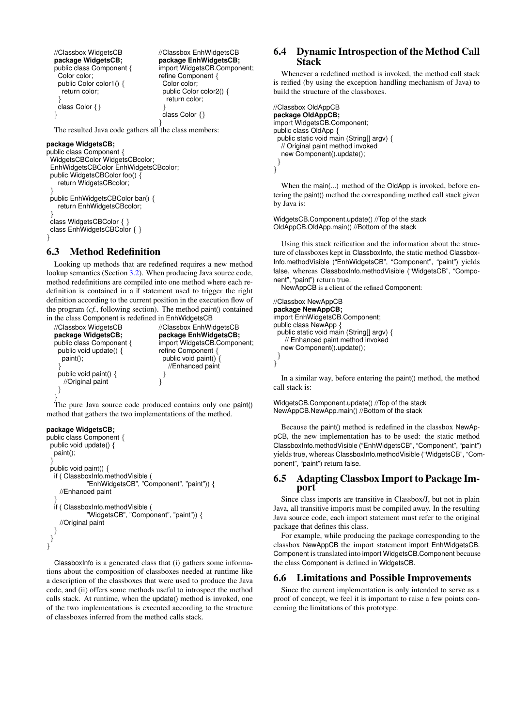```
//Classbox WidgetsCB
  package WidgetsCB;
  public class Component {
   Color color;
   public Color color1() {
    return color;
    }
   class Color {}
  }
                                   //Classbox EnhWidgetsCB
                                   package EnhWidgetsCB;
                                   import WidgetsCB.Component;
                                   refine Component {
                                     Color color;
                                     public Color color2() {
                                      return color;
                                     }
                                     class Color {}
                                    }
  The resulted Java code gathers all the class members:
package WidgetsCB;
```

```
public class Component {
 WidgetsCBColor WidgetsCBcolor:
 EnhWidgetsCBColor EnhWidgetsCBcolor;
 public WidgetsCBColor foo() {
   return WidgetsCBcolor;
 }
 public EnhWidgetsCBColor bar() {
   return EnhWidgetsCBcolor;
 }
 class WidgetsCBColor { }
 class EnhWidgetsCBColor { }
}
```
# <span id="page-9-3"></span>6.3 Method Redefinition

Looking up methods that are redefined requires a new method lookup semantics (Section [3.2\)](#page-4-2). When producing Java source code, method redefinitions are compiled into one method where each redefinition is contained in a if statement used to trigger the right definition according to the current position in the execution flow of the program (*cf.*, following section). The method paint() contained in the class Component is redefined in EnhWidgetsCB

```
//Classbox WidgetsCB
package WidgetsCB;
public class Component {
 public void update() {
  paint();
 }
 public void paint() {
  //Original paint
 }
}
                                 //Classbox EnhWidgetsCB
                                 package EnhWidgetsCB;
                                 import WidgetsCB.Component;
                                 refine Component {
                                  public void paint() {
                                    //Enhanced paint
                                  }
                                 }
```
The pure Java source code produced contains only one paint() method that gathers the two implementations of the method.

#### **package WidgetsCB;**

```
public class Component {
 public void update() {
  paint();
 }
 public void paint() {
  if ( ClassboxInfo.methodVisible (
             "EnhWidgetsCB", "Component", "paint")) {
    //Enhanced paint
  }
  if ( ClassboxInfo.methodVisible (
              "WidgetsCB", "Component", "paint")) {
    //Original paint
  }
 }
}
```
ClassboxInfo is a generated class that (i) gathers some informations about the composition of classboxes needed at runtime like a description of the classboxes that were used to produce the Java code, and (ii) offers some methods useful to introspect the method calls stack. At runtime, when the update() method is invoked, one of the two implementations is executed according to the structure of classboxes inferred from the method calls stack.

## <span id="page-9-0"></span>6.4 Dynamic Introspection of the Method Call **Stack**

Whenever a redefined method is invoked, the method call stack is reified (by using the exception handling mechanism of Java) to build the structure of the classboxes.

```
//Classbox OldAppCB
package OldAppCB;
import WidgetsCB.Component;
public class OldApp {
 public static void main (String[] argv) {
  // Original paint method invoked
  new Component().update();
 }
}
```
When the main(...) method of the OldApp is invoked, before entering the paint() method the corresponding method call stack given by Java is:

WidgetsCB.Component.update() //Top of the stack OldAppCB.OldApp.main() //Bottom of the stack

Using this stack reification and the information about the structure of classboxes kept in ClassboxInfo, the static method Classbox-Info.methodVisible ("EnhWidgetsCB", "Component", "paint") yields false, whereas ClassboxInfo.methodVisible ("WidgetsCB", "Component", "paint") return true.

NewAppCB is a client of the refined Component:

```
//Classbox NewAppCB
package NewAppCB;
import EnhWidgetsCB.Component;
public class NewApp {
 public static void main (String[] argv) {
   // Enhanced paint method invoked
  new Component().update();
 }
}
```
In a similar way, before entering the paint() method, the method call stack is:

WidgetsCB.Component.update() //Top of the stack NewAppCB.NewApp.main() //Bottom of the stack

Because the paint() method is redefined in the classbox NewAppCB, the new implementation has to be used: the static method ClassboxInfo.methodVisible ("EnhWidgetsCB", "Component", "paint") yields true, whereas ClassboxInfo.methodVisible ("WidgetsCB", "Component", "paint") return false.

## <span id="page-9-1"></span>6.5 Adapting Classbox Import to Package Import

Since class imports are transitive in Classbox/J, but not in plain Java, all transitive imports must be compiled away. In the resulting Java source code, each import statement must refer to the original package that defines this class.

For example, while producing the package corresponding to the classbox NewAppCB the import statement import EnhWidgetsCB. Component is translated into import WidgetsCB.Component because the class Component is defined in WidgetsCB.

# <span id="page-9-2"></span>6.6 Limitations and Possible Improvements

Since the current implementation is only intended to serve as a proof of concept, we feel it is important to raise a few points concerning the limitations of this prototype.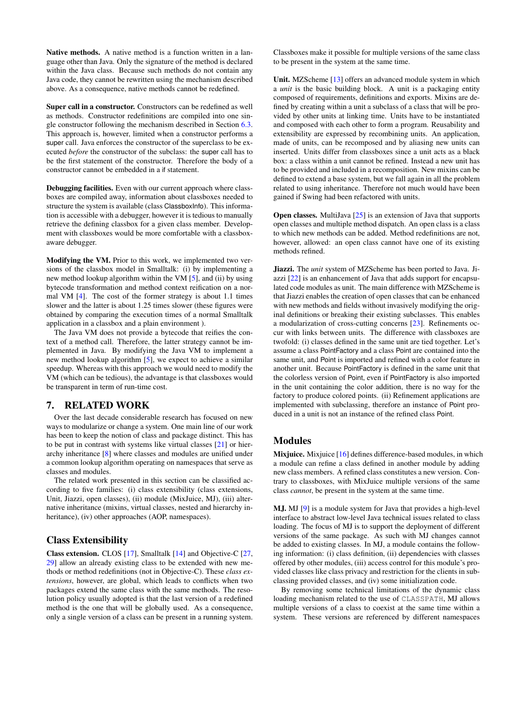Native methods. A native method is a function written in a language other than Java. Only the signature of the method is declared within the Java class. Because such methods do not contain any Java code, they cannot be rewritten using the mechanism described above. As a consequence, native methods cannot be redefined.

Super call in a constructor. Constructors can be redefined as well as methods. Constructor redefinitions are compiled into one single constructor following the mechanism described in Section [6.3.](#page-9-3) This approach is, however, limited when a constructor performs a super call. Java enforces the constructor of the superclass to be executed *before* the constructor of the subclass: the super call has to be the first statement of the constructor. Therefore the body of a constructor cannot be embedded in a if statement.

Debugging facilities. Even with our current approach where classboxes are compiled away, information about classboxes needed to structure the system is available (class ClassboxInfo). This information is accessible with a debugger, however it is tedious to manually retrieve the defining classbox for a given class member. Development with classboxes would be more comfortable with a classboxaware debugger.

Modifying the VM. Prior to this work, we implemented two versions of the classbox model in Smalltalk: (i) by implementing a new method lookup algorithm within the VM [\[5\]](#page-12-5), and (ii) by using bytecode transformation and method context reification on a normal VM [\[4\]](#page-12-4). The cost of the former strategy is about 1.1 times slower and the latter is about 1.25 times slower (these figures were obtained by comparing the execution times of a normal Smalltalk application in a classbox and a plain environment ).

The Java VM does not provide a bytecode that reifies the context of a method call. Therefore, the latter strategy cannot be implemented in Java. By modifying the Java VM to implement a new method lookup algorithm [\[5\]](#page-12-5), we expect to achieve a similar speedup. Whereas with this approach we would need to modify the VM (which can be tedious), the advantage is that classboxes would be transparent in term of run-time cost.

## <span id="page-10-0"></span>7. RELATED WORK

Over the last decade considerable research has focused on new ways to modularize or change a system. One main line of our work has been to keep the notion of class and package distinct. This has to be put in contrast with systems like virtual classes [\[21\]](#page-12-11) or hierarchy inheritance [\[8\]](#page-12-12) where classes and modules are unified under a common lookup algorithm operating on namespaces that serve as classes and modules.

The related work presented in this section can be classified according to five families: (i) class extensibility (class extensions, Unit, Jiazzi, open classes), (ii) module (MixJuice, MJ), (iii) alternative inheritance (mixins, virtual classes, nested and hierarchy inheritance), (iv) other approaches (AOP, namespaces).

## Class Extensibility

Class extension. CLOS [\[17\]](#page-12-0), Smalltalk [\[14\]](#page-12-1) and Objective-C [\[27,](#page-13-7) [29\]](#page-13-8) allow an already existing class to be extended with new methods or method redefinitions (not in Objective-C). These *class extensions*, however, are global, which leads to conflicts when two packages extend the same class with the same methods. The resolution policy usually adopted is that the last version of a redefined method is the one that will be globally used. As a consequence, only a single version of a class can be present in a running system.

Classboxes make it possible for multiple versions of the same class to be present in the system at the same time.

Unit. MZScheme [\[13\]](#page-12-13) offers an advanced module system in which a *unit* is the basic building block. A unit is a packaging entity composed of requirements, definitions and exports. Mixins are defined by creating within a unit a subclass of a class that will be provided by other units at linking time. Units have to be instantiated and composed with each other to form a program. Reusability and extensibility are expressed by recombining units. An application, made of units, can be recomposed and by aliasing new units can inserted. Units differ from classboxes since a unit acts as a black box: a class within a unit cannot be refined. Instead a new unit has to be provided and included in a recomposition. New mixins can be defined to extend a base system, but we fall again in all the problem related to using inheritance. Therefore not much would have been gained if Swing had been refactored with units.

**Open classes.** MultiJava [\[25\]](#page-13-0) is an extension of Java that supports open classes and multiple method dispatch. An open class is a class to which new methods can be added. Method redefinitions are not, however, allowed: an open class cannot have one of its existing methods refined.

Jiazzi. The *unit* system of MZScheme has been ported to Java. Jiazzi [\[22\]](#page-13-9) is an enhancement of Java that adds support for encapsulated code modules as unit. The main difference with MZScheme is that Jiazzi enables the creation of open classes that can be enhanced with new methods and fields without invasively modifying the original definitions or breaking their existing subclasses. This enables a modularization of cross-cutting concerns [\[23\]](#page-13-10). Refinements occur with links between units. The difference with classboxes are twofold: (i) classes defined in the same unit are tied together. Let's assume a class PointFactory and a class Point are contained into the same unit, and Point is imported and refined with a color feature in another unit. Because PointFactory is defined in the same unit that the colorless version of Point, even if PointFactory is also imported in the unit containing the color addition, there is no way for the factory to produce colored points. (ii) Refinement applications are implemented with subclassing, therefore an instance of Point produced in a unit is not an instance of the refined class Point.

### Modules

**Mixjuice.** Mixjuice [\[16\]](#page-12-14) defines difference-based modules, in which a module can refine a class defined in another module by adding new class members. A refined class constitutes a new version. Contrary to classboxes, with MixJuice multiple versions of the same class *cannot*, be present in the system at the same time.

MJ. MJ [\[9\]](#page-12-15) is a module system for Java that provides a high-level interface to abstract low-level Java technical issues related to class loading. The focus of MJ is to support the deployment of different versions of the same package. As such with MJ changes cannot be added to existing classes. In MJ, a module contains the following information: (i) class definition, (ii) dependencies with classes offered by other modules, (iii) access control for this module's provided classes like class privacy and restriction for the clients in subclassing provided classes, and (iv) some initialization code.

By removing some technical limitations of the dynamic class loading mechanism related to the use of CLASSPATH, MJ allows multiple versions of a class to coexist at the same time within a system. These versions are referenced by different namespaces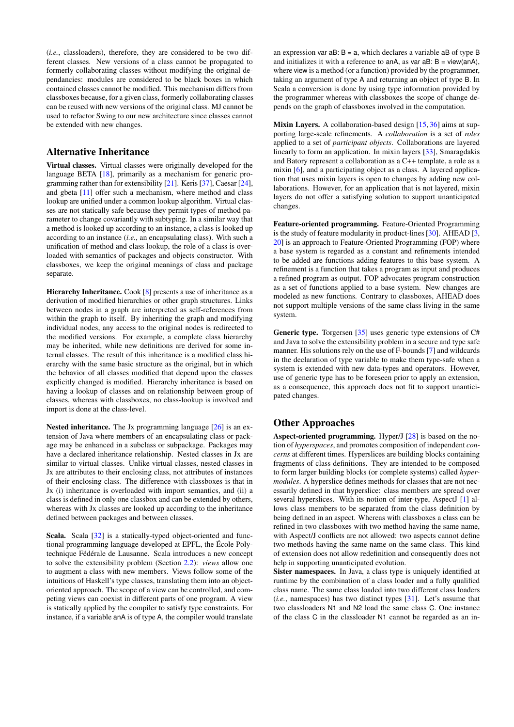(*i.e.*, classloaders), therefore, they are considered to be two different classes. New versions of a class cannot be propagated to formerly collaborating classes without modifying the original dependancies: modules are considered to be black boxes in which contained classes cannot be modified. This mechanism differs from classboxes because, for a given class, formerly collaborating classes can be reused with new versions of the original class. MJ cannot be used to refactor Swing to our new architecture since classes cannot be extended with new changes.

## Alternative Inheritance

Virtual classes. Virtual classes were originally developed for the language BETA [\[18\]](#page-12-16), primarily as a mechanism for generic programming rather than for extensibility [\[21\]](#page-12-11). Keris [\[37\]](#page-13-11), Caesar [\[24\]](#page-13-3), and gbeta [\[11\]](#page-12-3) offer such a mechanism, where method and class lookup are unified under a common lookup algorithm. Virtual classes are not statically safe because they permit types of method parameter to change covariantly with subtyping. In a similar way that a method is looked up according to an instance, a class is looked up according to an instance (*i.e.*, an encapsulating class). With such a unification of method and class lookup, the role of a class is overloaded with semantics of packages and objects constructor. With classboxes, we keep the original meanings of class and package separate.

Hierarchy Inheritance. Cook [\[8\]](#page-12-12) presents a use of inheritance as a derivation of modified hierarchies or other graph structures. Links between nodes in a graph are interpreted as self-references from within the graph to itself. By inheriting the graph and modifying individual nodes, any access to the original nodes is redirected to the modified versions. For example, a complete class hierarchy may be inherited, while new definitions are derived for some internal classes. The result of this inheritance is a modified class hierarchy with the same basic structure as the original, but in which the behavior of all classes modified that depend upon the classes explicitly changed is modified. Hierarchy inheritance is based on having a lookup of classes and on relationship between group of classes, whereas with classboxes, no class-lookup is involved and import is done at the class-level.

Nested inheritance. The Jx programming language  $[26]$  is an extension of Java where members of an encapsulating class or package may be enhanced in a subclass or subpackage. Packages may have a declared inheritance relationship. Nested classes in Jx are similar to virtual classes. Unlike virtual classes, nested classes in Jx are attributes to their enclosing class, not attributes of instances of their enclosing class. The difference with classboxes is that in Jx (i) inheritance is overloaded with import semantics, and (ii) a class is defined in only one classbox and can be extended by others, whereas with Jx classes are looked up according to the inheritance defined between packages and between classes.

Scala. Scala [\[32\]](#page-13-12) is a statically-typed object-oriented and functional programming language developed at EPFL, the Ecole Poly- ´ technique Fédérale de Lausanne. Scala introduces a new concept to solve the extensibility problem (Section [2.2\)](#page-2-2): *views* allow one to augment a class with new members. Views follow some of the intuitions of Haskell's type classes, translating them into an objectoriented approach. The scope of a view can be controlled, and competing views can coexist in different parts of one program. A view is statically applied by the compiler to satisfy type constraints. For instance, if a variable anA is of type A, the compiler would translate an expression var  $aB$ :  $B = a$ , which declares a variable  $aB$  of type  $B$ and initializes it with a reference to anA, as var aB: B = view(anA), where view is a method (or a function) provided by the programmer, taking an argument of type A and returning an object of type B. In Scala a conversion is done by using type information provided by the programmer whereas with classboxes the scope of change depends on the graph of classboxes involved in the computation.

Mixin Layers. A collaboration-based design [\[15,](#page-12-17) [36\]](#page-13-13) aims at supporting large-scale refinements. A *collaboration* is a set of *roles* applied to a set of *participant objects*. Collaborations are layered linearly to form an application. In mixin layers [\[33\]](#page-13-14), Smaragdakis and Batory represent a collaboration as a C++ template, a role as a mixin [\[6\]](#page-12-18), and a participating object as a class. A layered application that uses mixin layers is open to changes by adding new collaborations. However, for an application that is not layered, mixin layers do not offer a satisfying solution to support unanticipated changes.

Feature-oriented programming. Feature-Oriented Programming is the study of feature modularity in product-lines [\[30\]](#page-13-15). AHEAD [\[3,](#page-12-19) [20\]](#page-12-20) is an approach to Feature-Oriented Programming (FOP) where a base system is regarded as a constant and refinements intended to be added are functions adding features to this base system. A refinement is a function that takes a program as input and produces a refined program as output. FOP advocates program construction as a set of functions applied to a base system. New changes are modeled as new functions. Contrary to classboxes, AHEAD does not support multiple versions of the same class living in the same system.

Generic type. Torgersen [\[35\]](#page-13-6) uses generic type extensions of C# and Java to solve the extensibility problem in a secure and type safe manner. His solutions rely on the use of F-bounds [\[7\]](#page-12-21) and wildcards in the declaration of type variable to make them type-safe when a system is extended with new data-types and operators. However, use of generic type has to be foreseen prior to apply an extension, as a consequence, this approach does not fit to support unanticipated changes.

# Other Approaches

Aspect-oriented programming. Hyper/J [\[28\]](#page-13-1) is based on the notion of *hyperspaces*, and promotes composition of independent *concerns* at different times. Hyperslices are building blocks containing fragments of class definitions. They are intended to be composed to form larger building blocks (or complete systems) called *hypermodules*. A hyperslice defines methods for classes that are not necessarily defined in that hyperslice: class members are spread over several hyperslices. With its notion of inter-type, AspectJ [\[1\]](#page-12-2) allows class members to be separated from the class definition by being defined in an aspect. Whereas with classboxes a class can be refined in two classboxes with two method having the same name, with Aspect/J conflicts are not allowed: two aspects cannot define two methods having the same name on the same class. This kind of extension does not allow redefinition and consequently does not help in supporting unanticipated evolution.

Sister namespaces. In Java, a class type is uniquely identified at runtime by the combination of a class loader and a fully qualified class name. The same class loaded into two different class loaders (*i.e.*, namespaces) has two distinct types [\[31\]](#page-13-16). Let's assume that two classloaders N1 and N2 load the same class C. One instance of the class C in the classloader N1 cannot be regarded as an in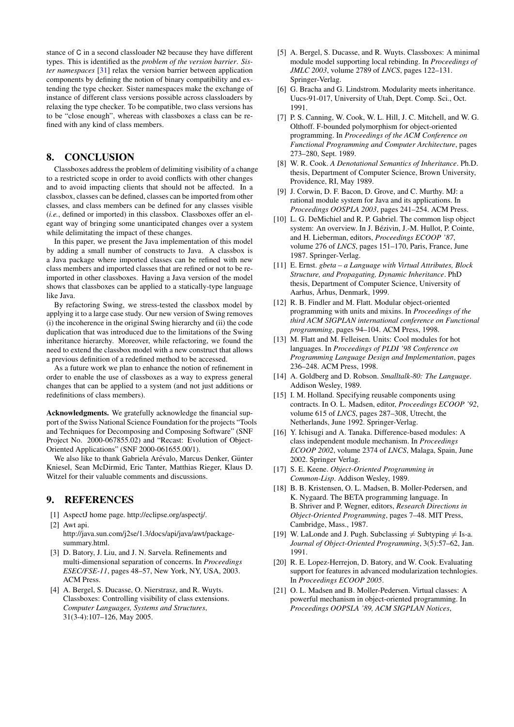stance of C in a second classloader N2 because they have different types. This is identified as the *problem of the version barrier*. *Sister namespaces* [\[31\]](#page-13-16) relax the version barrier between application components by defining the notion of binary compatibility and extending the type checker. Sister namespaces make the exchange of instance of different class versions possible across classloaders by relaxing the type checker. To be compatible, two class versions has to be "close enough", whereas with classboxes a class can be refined with any kind of class members.

## <span id="page-12-6"></span>8. CONCLUSION

Classboxes address the problem of delimiting visibility of a change to a restricted scope in order to avoid conflicts with other changes and to avoid impacting clients that should not be affected. In a classbox, classes can be defined, classes can be imported from other classes, and class members can be defined for any classes visible (*i.e.*, defined or imported) in this classbox. Classboxes offer an elegant way of bringing some unanticipated changes over a system while delimitating the impact of these changes.

In this paper, we present the Java implementation of this model by adding a small number of constructs to Java. A classbox is a Java package where imported classes can be refined with new class members and imported classes that are refined or not to be reimported in other classboxes. Having a Java version of the model shows that classboxes can be applied to a statically-type language like Java.

By refactoring Swing, we stress-tested the classbox model by applying it to a large case study. Our new version of Swing removes (i) the incoherence in the original Swing hierarchy and (ii) the code duplication that was introduced due to the limitations of the Swing inheritance hierarchy. Moreover, while refactoring, we found the need to extend the classbox model with a new construct that allows a previous definition of a redefined method to be accessed.

As a future work we plan to enhance the notion of refinement in order to enable the use of classboxes as a way to express general changes that can be applied to a system (and not just additions or redefinitions of class members).

Acknowledgments. We gratefully acknowledge the financial support of the Swiss National Science Foundation for the projects "Tools and Techniques for Decomposing and Composing Software" (SNF Project No. 2000-067855.02) and "Recast: Evolution of Object-Oriented Applications" (SNF 2000-061655.00/1).

We also like to thank Gabriela Arévalo, Marcus Denker, Günter Kniesel, Sean McDirmid, Eric Tanter, Matthias Rieger, Klaus D. Witzel for their valuable comments and discussions.

## 9. REFERENCES

- <span id="page-12-7"></span><span id="page-12-2"></span>[1] AspectJ home page. http://eclipse.org/aspectj/. [2] Awt api.
- http://java.sun.com/j2se/1.3/docs/api/java/awt/packagesummary.html.
- <span id="page-12-19"></span>[3] D. Batory, J. Liu, and J. N. Sarvela. Refinements and multi-dimensional separation of concerns. In *Proceedings ESEC/FSE-11*, pages 48–57, New York, NY, USA, 2003. ACM Press.
- <span id="page-12-4"></span>[4] A. Bergel, S. Ducasse, O. Nierstrasz, and R. Wuyts. Classboxes: Controlling visibility of class extensions. *Computer Languages, Systems and Structures*, 31(3-4):107–126, May 2005.
- <span id="page-12-5"></span>[5] A. Bergel, S. Ducasse, and R. Wuyts. Classboxes: A minimal module model supporting local rebinding. In *Proceedings of JMLC 2003*, volume 2789 of *LNCS*, pages 122–131. Springer-Verlag.
- <span id="page-12-18"></span>[6] G. Bracha and G. Lindstrom. Modularity meets inheritance. Uucs-91-017, University of Utah, Dept. Comp. Sci., Oct. 1991.
- <span id="page-12-21"></span>[7] P. S. Canning, W. Cook, W. L. Hill, J. C. Mitchell, and W. G. Olthoff. F-bounded polymorphism for object-oriented programming. In *Proceedings of the ACM Conference on Functional Programming and Computer Architecture*, pages 273–280, Sept. 1989.
- <span id="page-12-12"></span>[8] W. R. Cook. *A Denotational Semantics of Inheritance*. Ph.D. thesis, Department of Computer Science, Brown University, Providence, RI, May 1989.
- <span id="page-12-15"></span>[9] J. Corwin, D. F. Bacon, D. Grove, and C. Murthy. MJ: a rational module system for Java and its applications. In *Proceedings OOSPLA 2003*, pages 241–254. ACM Press.
- <span id="page-12-10"></span>[10] L. G. DeMichiel and R. P. Gabriel. The common lisp object system: An overview. In J. Bezivin, J.-M. Hullot, P. Cointe, ´ and H. Lieberman, editors, *Proceedings ECOOP '87*, volume 276 of *LNCS*, pages 151–170, Paris, France, June 1987. Springer-Verlag.
- <span id="page-12-3"></span>[11] E. Ernst. *gbeta – a Language with Virtual Attributes, Block Structure, and Propagating, Dynamic Inheritance*. PhD thesis, Department of Computer Science, University of Aarhus, Århus, Denmark, 1999.
- <span id="page-12-8"></span>[12] R. B. Findler and M. Flatt. Modular object-oriented programming with units and mixins. In *Proceedings of the third ACM SIGPLAN international conference on Functional programming*, pages 94–104. ACM Press, 1998.
- <span id="page-12-13"></span>[13] M. Flatt and M. Felleisen. Units: Cool modules for hot languages. In *Proceedings of PLDI '98 Conference on Programming Language Design and Implementation*, pages 236–248. ACM Press, 1998.
- <span id="page-12-1"></span>[14] A. Goldberg and D. Robson. *Smalltalk-80: The Language*. Addison Wesley, 1989.
- <span id="page-12-17"></span>[15] I. M. Holland. Specifying reusable components using contracts. In O. L. Madsen, editor, *Proceedings ECOOP '92*, volume 615 of *LNCS*, pages 287–308, Utrecht, the Netherlands, June 1992. Springer-Verlag.
- <span id="page-12-14"></span>[16] Y. Ichisugi and A. Tanaka. Difference-based modules: A class independent module mechanism. In *Proceedings ECOOP 2002*, volume 2374 of *LNCS*, Malaga, Spain, June 2002. Springer Verlag.
- <span id="page-12-0"></span>[17] S. E. Keene. *Object-Oriented Programming in Common-Lisp*. Addison Wesley, 1989.
- <span id="page-12-16"></span>[18] B. B. Kristensen, O. L. Madsen, B. Moller-Pedersen, and K. Nygaard. The BETA programming language. In B. Shriver and P. Wegner, editors, *Research Directions in Object-Oriented Programming*, pages 7–48. MIT Press, Cambridge, Mass., 1987.
- <span id="page-12-9"></span>[19] W. LaLonde and J. Pugh. Subclassing  $\neq$  Subtyping  $\neq$  Is-a. *Journal of Object-Oriented Programming*, 3(5):57–62, Jan. 1991.
- <span id="page-12-20"></span>[20] R. E. Lopez-Herrejon, D. Batory, and W. Cook. Evaluating support for features in advanced modularization technlogies. In *Proceedings ECOOP 2005*.
- <span id="page-12-11"></span>[21] O. L. Madsen and B. Moller-Pedersen. Virtual classes: A powerful mechanism in object-oriented programming. In *Proceedings OOPSLA '89, ACM SIGPLAN Notices*,